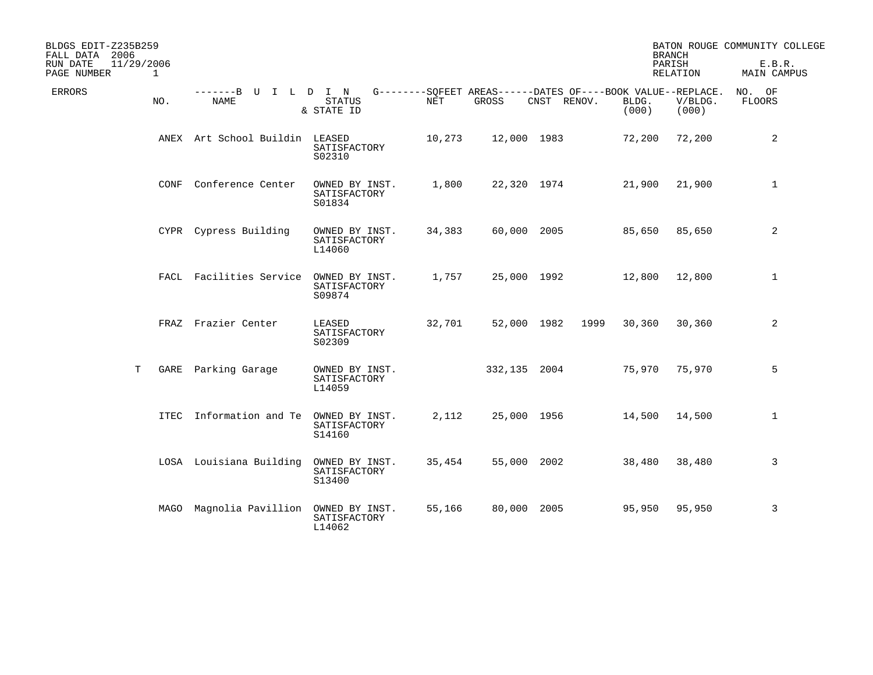| BLDGS EDIT-Z235B259<br>FALL DATA 2006<br>11/29/2006<br>RUN DATE |      |                                     |                                          |        |              |                                                                            |                | <b>BRANCH</b><br>PARISH | BATON ROUGE COMMUNITY COLLEGE<br>E.B.R. |
|-----------------------------------------------------------------|------|-------------------------------------|------------------------------------------|--------|--------------|----------------------------------------------------------------------------|----------------|-------------------------|-----------------------------------------|
| PAGE NUMBER<br>$\mathbf{1}$                                     |      |                                     |                                          |        |              |                                                                            |                | RELATION                | <b>MAIN CAMPUS</b>                      |
| <b>ERRORS</b>                                                   | NO.  | -------B U I L D I N<br><b>NAME</b> | <b>STATUS</b><br>& STATE ID              | NET    | GROSS        | G--------SOFEET AREAS------DATES OF----BOOK VALUE--REPLACE.<br>CNST RENOV. | BLDG.<br>(000) | V/BLDG.<br>(000)        | NO. OF<br><b>FLOORS</b>                 |
|                                                                 |      | ANEX Art School Buildin             | LEASED<br>SATISFACTORY<br>S02310         | 10,273 | 12,000 1983  |                                                                            | 72,200         | 72,200                  | 2                                       |
|                                                                 | CONF | Conference Center                   | OWNED BY INST.<br>SATISFACTORY<br>S01834 | 1,800  | 22,320 1974  |                                                                            | 21,900         | 21,900                  | $\mathbf{1}$                            |
|                                                                 |      | CYPR Cypress Building               | OWNED BY INST.<br>SATISFACTORY<br>L14060 | 34,383 | 60,000 2005  |                                                                            | 85,650         | 85,650                  | 2                                       |
|                                                                 |      | FACL Facilities Service             | OWNED BY INST.<br>SATISFACTORY<br>S09874 | 1,757  | 25,000 1992  |                                                                            | 12,800         | 12,800                  | 1                                       |
|                                                                 |      | FRAZ Frazier Center                 | LEASED<br>SATISFACTORY<br>S02309         | 32,701 |              | 52,000 1982<br>1999                                                        | 30,360         | 30,360                  | 2                                       |
| T                                                               |      | GARE Parking Garage                 | OWNED BY INST.<br>SATISFACTORY<br>L14059 |        | 332,135 2004 |                                                                            | 75,970         | 75,970                  | 5                                       |
|                                                                 |      | ITEC Information and Te             | OWNED BY INST.<br>SATISFACTORY<br>S14160 | 2,112  | 25,000 1956  |                                                                            | 14,500         | 14,500                  | $\mathbf{1}$                            |
|                                                                 |      | LOSA Louisiana Building             | OWNED BY INST.<br>SATISFACTORY<br>S13400 | 35,454 | 55,000 2002  |                                                                            | 38,480         | 38,480                  | 3                                       |
|                                                                 | MAGO | Magnolia Pavillion                  | OWNED BY INST.<br>SATISFACTORY<br>L14062 | 55,166 | 80,000 2005  |                                                                            | 95,950         | 95,950                  | 3                                       |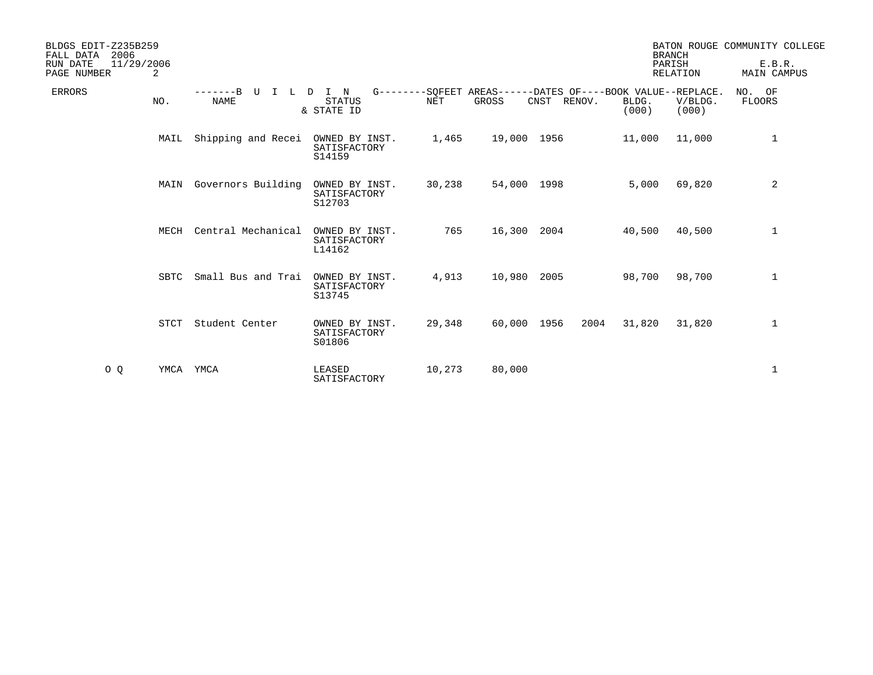| BLDGS EDIT-Z235B259<br>2006<br>FALL DATA<br>11/29/2006<br>RUN DATE |             |                              |                                                        |            |             |                                                                      |                | <b>BRANCH</b><br>PARISH | BATON ROUGE COMMUNITY COLLEGE<br>E.B.R. |
|--------------------------------------------------------------------|-------------|------------------------------|--------------------------------------------------------|------------|-------------|----------------------------------------------------------------------|----------------|-------------------------|-----------------------------------------|
| PAGE NUMBER                                                        | 2           |                              |                                                        |            |             |                                                                      |                | <b>RELATION</b>         | MAIN CAMPUS                             |
| <b>ERRORS</b>                                                      | NO.         | -------R<br>U<br><b>NAME</b> | I N<br>D<br>$G$ -------<br><b>STATUS</b><br>& STATE ID | <b>NET</b> | GROSS       | -SOFEET AREAS------DATES OF----BOOK VALUE--REPLACE<br>RENOV.<br>CNST | BLDG.<br>(000) | V/BLDG.<br>(000)        | NO. OF<br>FLOORS                        |
|                                                                    | MAIL        | Shipping and Recei           | OWNED BY INST.<br>SATISFACTORY<br>S14159               | 1,465      | 19,000 1956 |                                                                      | 11,000         | 11,000                  | $\mathbf 1$                             |
|                                                                    | MAIN        | Governors Building           | OWNED BY INST.<br>SATISFACTORY<br>S12703               | 30,238     | 54,000 1998 |                                                                      | 5,000          | 69,820                  | 2                                       |
|                                                                    | MECH        | Central Mechanical           | OWNED BY INST.<br>SATISFACTORY<br>L14162               | 765        | 16,300      | 2004                                                                 | 40,500         | 40,500                  | $\mathbf{1}$                            |
|                                                                    | SBTC        | Small Bus and Trai           | OWNED BY INST.<br>SATISFACTORY<br>S13745               | 4,913      | 10,980      | 2005                                                                 | 98,700         | 98,700                  | $\mathbf{1}$                            |
|                                                                    | <b>STCT</b> | Student Center               | OWNED BY INST.<br>SATISFACTORY<br>S01806               | 29,348     | 60,000 1956 | 2004                                                                 | 31,820         | 31,820                  | $\mathbf{1}$                            |
| $O$ $Q$                                                            | YMCA        | YMCA                         | LEASED<br>SATISFACTORY                                 | 10,273     | 80,000      |                                                                      |                |                         | 1                                       |